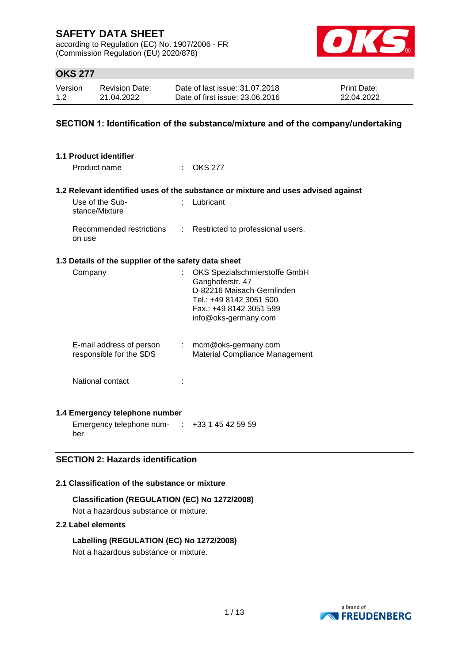according to Regulation (EC) No. 1907/2006 - FR (Commission Regulation (EU) 2020/878)



## **OKS 277**

| Version | <b>Revision Date:</b> | Date of last issue: 31.07.2018  | <b>Print Date:</b> |
|---------|-----------------------|---------------------------------|--------------------|
| 1.2     | 21.04.2022            | Date of first issue: 23,06,2016 | 22.04.2022         |

## **SECTION 1: Identification of the substance/mixture and of the company/undertaking**

| 1.1 Product identifier                               |                             |                                                                                   |
|------------------------------------------------------|-----------------------------|-----------------------------------------------------------------------------------|
| Product name                                         |                             | $\therefore$ OKS 277                                                              |
|                                                      |                             |                                                                                   |
|                                                      |                             | 1.2 Relevant identified uses of the substance or mixture and uses advised against |
| Use of the Sub-<br>stance/Mixture                    | t.                          | Lubricant                                                                         |
| Recommended restrictions<br>on use                   |                             | : Restricted to professional users.                                               |
| 1.3 Details of the supplier of the safety data sheet |                             |                                                                                   |
| Company                                              |                             | OKS Spezialschmierstoffe GmbH                                                     |
|                                                      |                             | Ganghoferstr. 47                                                                  |
|                                                      |                             | D-82216 Maisach-Gernlinden<br>Tel.: +49 8142 3051 500                             |
|                                                      |                             | Fax.: +49 8142 3051 599                                                           |
|                                                      |                             | info@oks-germany.com                                                              |
|                                                      |                             |                                                                                   |
| E-mail address of person                             |                             | $:$ mcm@oks-germany.com                                                           |
| responsible for the SDS                              |                             | Material Compliance Management                                                    |
|                                                      |                             |                                                                                   |
| National contact                                     |                             |                                                                                   |
|                                                      |                             |                                                                                   |
| 1.4 Emergency telephone number                       |                             |                                                                                   |
| Emergency telephone num-                             | $\mathcal{L}^{\mathcal{L}}$ | +33 1 45 42 59 59                                                                 |

ber

## **SECTION 2: Hazards identification**

### **2.1 Classification of the substance or mixture**

**Classification (REGULATION (EC) No 1272/2008)** Not a hazardous substance or mixture.

### **2.2 Label elements**

**Labelling (REGULATION (EC) No 1272/2008)** Not a hazardous substance or mixture.

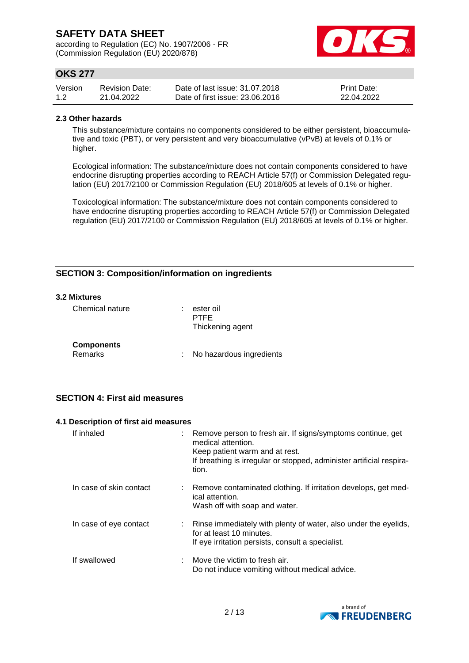according to Regulation (EC) No. 1907/2006 - FR (Commission Regulation (EU) 2020/878)



## **OKS 277**

| Version | <b>Revision Date:</b> | Date of last issue: 31.07.2018  | <b>Print Date:</b> |
|---------|-----------------------|---------------------------------|--------------------|
| 1.2     | 21.04.2022            | Date of first issue: 23,06,2016 | 22.04.2022         |

### **2.3 Other hazards**

This substance/mixture contains no components considered to be either persistent, bioaccumulative and toxic (PBT), or very persistent and very bioaccumulative (vPvB) at levels of 0.1% or higher.

Ecological information: The substance/mixture does not contain components considered to have endocrine disrupting properties according to REACH Article 57(f) or Commission Delegated regulation (EU) 2017/2100 or Commission Regulation (EU) 2018/605 at levels of 0.1% or higher.

Toxicological information: The substance/mixture does not contain components considered to have endocrine disrupting properties according to REACH Article 57(f) or Commission Delegated regulation (EU) 2017/2100 or Commission Regulation (EU) 2018/605 at levels of 0.1% or higher.

## **SECTION 3: Composition/information on ingredients**

### **3.2 Mixtures**

| Chemical nature                     | ester oil<br><b>PTFF</b><br>Thickening agent |
|-------------------------------------|----------------------------------------------|
| <b>Components</b><br><b>Remarks</b> | No hazardous ingredients                     |

### **SECTION 4: First aid measures**

### **4.1 Description of first aid measures**

| If inhaled              | Remove person to fresh air. If signs/symptoms continue, get<br>medical attention.<br>Keep patient warm and at rest.<br>If breathing is irregular or stopped, administer artificial respira-<br>tion. |
|-------------------------|------------------------------------------------------------------------------------------------------------------------------------------------------------------------------------------------------|
| In case of skin contact | Remove contaminated clothing. If irritation develops, get med-<br>ical attention.<br>Wash off with soap and water.                                                                                   |
| In case of eye contact  | : Rinse immediately with plenty of water, also under the eyelids,<br>for at least 10 minutes.<br>If eye irritation persists, consult a specialist.                                                   |
| If swallowed            | $\therefore$ Move the victim to fresh air.<br>Do not induce vomiting without medical advice.                                                                                                         |

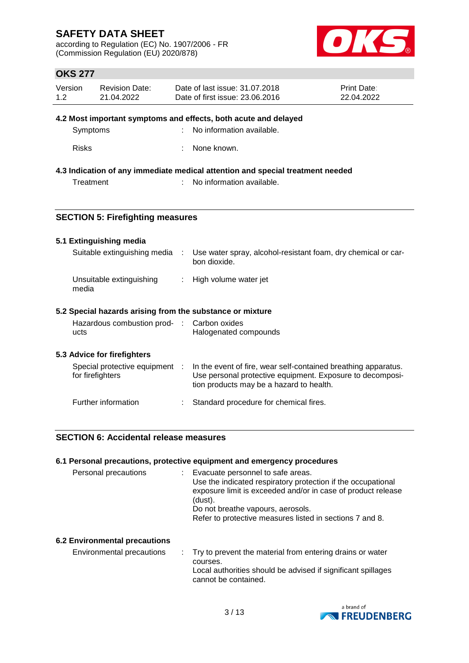according to Regulation (EC) No. 1907/2006 - FR (Commission Regulation (EU) 2020/878)



## **OKS 277**

| Version | <b>Revision Date:</b> | Date of last issue: 31.07.2018  | <b>Print Date:</b> |
|---------|-----------------------|---------------------------------|--------------------|
| 1.2     | 21.04.2022            | Date of first issue: 23,06,2016 | 22.04.2022         |

### **4.2 Most important symptoms and effects, both acute and delayed**

| Symptoms | : No information available. |
|----------|-----------------------------|
|          |                             |

Risks : None known.

## **4.3 Indication of any immediate medical attention and special treatment needed**

Treatment : No information available.

## **SECTION 5: Firefighting measures**

### **5.1 Extinguishing media**

| Suitable extinguishing media                          |  | Use water spray, alcohol-resistant foam, dry chemical or car-<br>bon dioxide. |  |  |  |  |
|-------------------------------------------------------|--|-------------------------------------------------------------------------------|--|--|--|--|
| Unsuitable extinguishing<br>media                     |  | : High volume water jet                                                       |  |  |  |  |
| Special hazards arising from the substance or mixture |  |                                                                               |  |  |  |  |

## **5.2 Special hazards arising from the substance or**

| Hazardous combustion prod- | : Carbon oxides       |
|----------------------------|-----------------------|
| ucts                       | Halogenated compounds |

### **5.3 Advice for firefighters**

| Special protective equipment :<br>for firefighters | In the event of fire, wear self-contained breathing apparatus.<br>Use personal protective equipment. Exposure to decomposi-<br>tion products may be a hazard to health. |
|----------------------------------------------------|-------------------------------------------------------------------------------------------------------------------------------------------------------------------------|
| Further information                                | Standard procedure for chemical fires.                                                                                                                                  |

## **SECTION 6: Accidental release measures**

## **6.1 Personal precautions, protective equipment and emergency procedures**

| Personal precautions          | Evacuate personnel to safe areas.<br>Use the indicated respiratory protection if the occupational<br>exposure limit is exceeded and/or in case of product release<br>(dust).<br>Do not breathe vapours, aerosols.<br>Refer to protective measures listed in sections 7 and 8. |
|-------------------------------|-------------------------------------------------------------------------------------------------------------------------------------------------------------------------------------------------------------------------------------------------------------------------------|
| 6.2 Environmental precautions |                                                                                                                                                                                                                                                                               |

Environmental precautions : Try to prevent the material from entering drains or water courses. Local authorities should be advised if significant spillages cannot be contained.

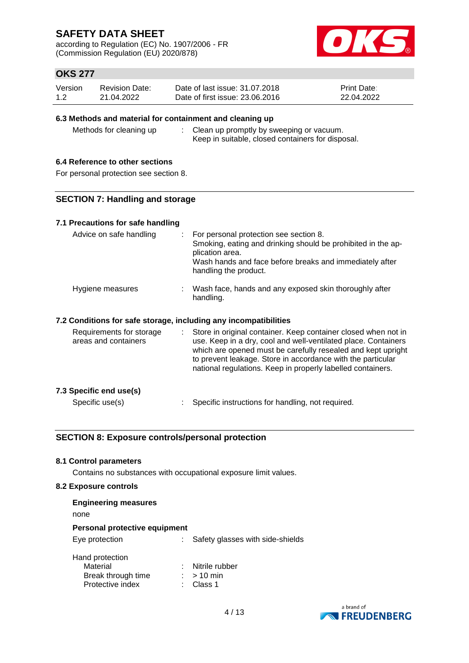according to Regulation (EC) No. 1907/2006 - FR (Commission Regulation (EU) 2020/878)



## **OKS 277**

| Version | <b>Revision Date:</b> | Date of last issue: 31.07.2018  | <b>Print Date:</b> |
|---------|-----------------------|---------------------------------|--------------------|
| 1.2     | 21.04.2022            | Date of first issue: 23,06,2016 | 22.04.2022         |

### **6.3 Methods and material for containment and cleaning up**

Methods for cleaning up : Clean up promptly by sweeping or vacuum. Keep in suitable, closed containers for disposal.

## **6.4 Reference to other sections**

For personal protection see section 8.

## **SECTION 7: Handling and storage**

### **7.1 Precautions for safe handling**

| For personal protection see section 8.<br>Smoking, eating and drinking should be prohibited in the ap-<br>plication area.<br>Wash hands and face before breaks and immediately after<br>handling the product.                                                                                                                        |
|--------------------------------------------------------------------------------------------------------------------------------------------------------------------------------------------------------------------------------------------------------------------------------------------------------------------------------------|
| : Wash face, hands and any exposed skin thoroughly after<br>handling.                                                                                                                                                                                                                                                                |
| 7.2 Conditions for safe storage, including any incompatibilities                                                                                                                                                                                                                                                                     |
| Store in original container. Keep container closed when not in<br>÷.<br>use. Keep in a dry, cool and well-ventilated place. Containers<br>which are opened must be carefully resealed and kept upright<br>to prevent leakage. Store in accordance with the particular<br>national regulations. Keep in properly labelled containers. |
|                                                                                                                                                                                                                                                                                                                                      |

## **7.3 Specific end use(s)**

Specific use(s) : Specific instructions for handling, not required.

### **SECTION 8: Exposure controls/personal protection**

**8.1 Control parameters**

Contains no substances with occupational exposure limit values.

### **8.2 Exposure controls**

| <b>Engineering measures</b>                                           |                                        |
|-----------------------------------------------------------------------|----------------------------------------|
| none                                                                  |                                        |
| Personal protective equipment                                         |                                        |
| Eye protection                                                        | Safety glasses with side-shields       |
| Hand protection<br>Material<br>Break through time<br>Protective index | Nitrile rubber<br>$>10$ min<br>Class 1 |

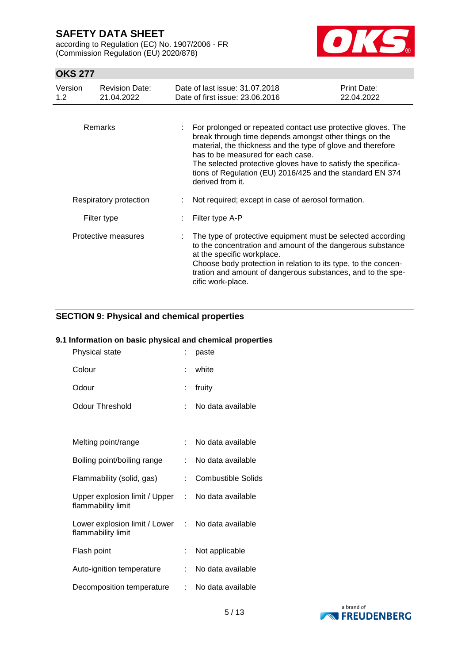according to Regulation (EC) No. 1907/2006 - FR (Commission Regulation (EU) 2020/878)



## **OKS 277**

| Version<br>1.2         | <b>Revision Date:</b><br>21.04.2022 | Date of last issue: 31.07.2018<br>Date of first issue: 23.06.2016 |                                                                                                                                                                                                                                                                                                                                                                                | Print Date:<br>22.04.2022 |
|------------------------|-------------------------------------|-------------------------------------------------------------------|--------------------------------------------------------------------------------------------------------------------------------------------------------------------------------------------------------------------------------------------------------------------------------------------------------------------------------------------------------------------------------|---------------------------|
| <b>Remarks</b>         |                                     |                                                                   | : For prolonged or repeated contact use protective gloves. The<br>break through time depends amongst other things on the<br>material, the thickness and the type of glove and therefore<br>has to be measured for each case.<br>The selected protective gloves have to satisfy the specifica-<br>tions of Regulation (EU) 2016/425 and the standard EN 374<br>derived from it. |                           |
| Respiratory protection |                                     |                                                                   | Not required; except in case of aerosol formation.                                                                                                                                                                                                                                                                                                                             |                           |
| Filter type            |                                     |                                                                   | Filter type A-P                                                                                                                                                                                                                                                                                                                                                                |                           |
| Protective measures    |                                     |                                                                   | The type of protective equipment must be selected according<br>to the concentration and amount of the dangerous substance<br>at the specific workplace.<br>Choose body protection in relation to its type, to the concen-<br>tration and amount of dangerous substances, and to the spe-<br>cific work-place.                                                                  |                           |

## **SECTION 9: Physical and chemical properties**

## **9.1 Information on basic physical and chemical properties**

| Physical state                                      |      | paste                     |
|-----------------------------------------------------|------|---------------------------|
| Colour                                              | t.   | white                     |
| Odour                                               | ÷    | fruity                    |
| Odour Threshold                                     | t.   | No data available         |
|                                                     |      |                           |
| Melting point/range                                 | t.   | No data available         |
| Boiling point/boiling range                         | ÷    | No data available         |
| Flammability (solid, gas)                           | ÷    | <b>Combustible Solids</b> |
| Upper explosion limit / Upper<br>flammability limit | t in | No data available         |
| Lower explosion limit / Lower<br>flammability limit |      | : No data available       |
| Flash point                                         | ÷    | Not applicable            |
| Auto-ignition temperature                           | t.   | No data available         |
| Decomposition temperature                           | t.   | No data available         |

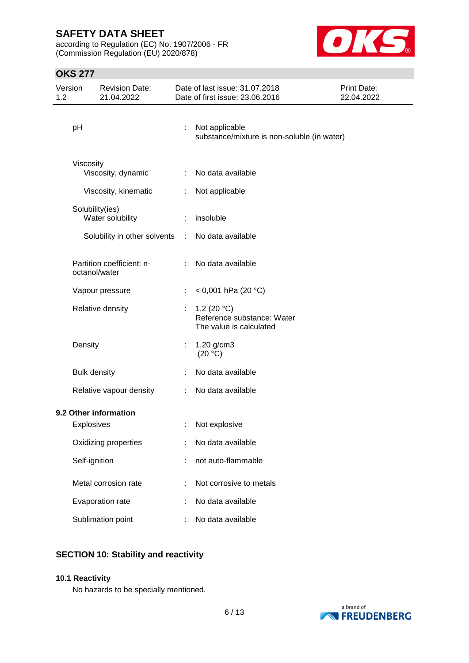according to Regulation (EC) No. 1907/2006 - FR (Commission Regulation (EU) 2020/878)



## **OKS 277**

| Version<br>1.2 |                     | <b>Revision Date:</b><br>21.04.2022        |                                                                        | Date of last issue: 31.07.2018<br>Print Date:<br>Date of first issue: 23.06.2016<br>22.04.2022 |  |
|----------------|---------------------|--------------------------------------------|------------------------------------------------------------------------|------------------------------------------------------------------------------------------------|--|
|                | pH                  |                                            | ÷                                                                      | Not applicable<br>substance/mixture is non-soluble (in water)                                  |  |
|                | Viscosity           | Viscosity, dynamic                         |                                                                        | : No data available                                                                            |  |
|                |                     | Viscosity, kinematic                       | ÷                                                                      | Not applicable                                                                                 |  |
|                |                     | Solubility(ies)<br>Water solubility        |                                                                        | insoluble                                                                                      |  |
|                |                     | Solubility in other solvents               | ÷                                                                      | No data available                                                                              |  |
|                |                     | Partition coefficient: n-<br>octanol/water | : No data available                                                    |                                                                                                |  |
|                |                     | Vapour pressure                            | ÷                                                                      | < 0,001 hPa (20 °C)                                                                            |  |
|                |                     | Relative density                           | 1,2 $(20 °C)$<br>Reference substance: Water<br>The value is calculated |                                                                                                |  |
|                | Density             |                                            | 1,20 g/cm3<br>(20 °C)                                                  |                                                                                                |  |
|                | <b>Bulk density</b> |                                            |                                                                        | No data available                                                                              |  |
|                |                     | Relative vapour density                    | ÷                                                                      | No data available                                                                              |  |
|                |                     | 9.2 Other information                      |                                                                        |                                                                                                |  |
|                | Explosives          |                                            | ÷                                                                      | Not explosive                                                                                  |  |
|                |                     | Oxidizing properties                       |                                                                        | No data available                                                                              |  |
|                | Self-ignition       |                                            |                                                                        | not auto-flammable                                                                             |  |
|                |                     | Metal corrosion rate                       |                                                                        | Not corrosive to metals                                                                        |  |
|                |                     | Evaporation rate                           |                                                                        | No data available                                                                              |  |
|                |                     | Sublimation point                          |                                                                        | No data available                                                                              |  |

## **SECTION 10: Stability and reactivity**

## **10.1 Reactivity**

No hazards to be specially mentioned.

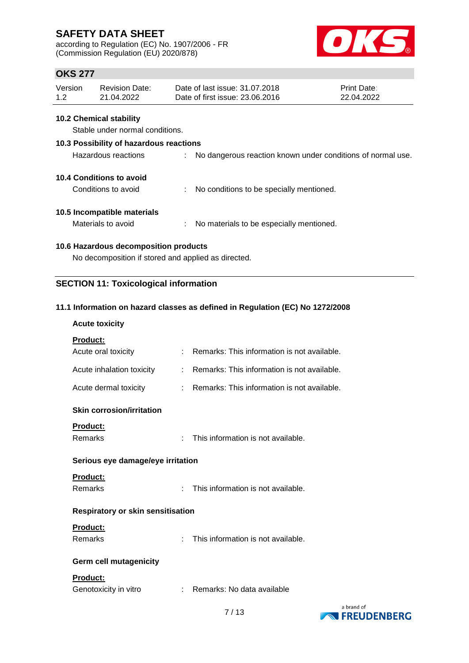according to Regulation (EC) No. 1907/2006 - FR (Commission Regulation (EU) 2020/878)



## **OKS 277**

| Version | <b>Revision Date:</b> | Date of last issue: 31,07,2018  | <b>Print Date:</b> |
|---------|-----------------------|---------------------------------|--------------------|
| 1.2     | 21.04.2022            | Date of first issue: 23,06,2016 | 22.04.2022         |

### **10.2 Chemical stability**

Stable under normal conditions.

# **10.3 Possibility of hazardous reactions** Hazardous reactions : No dangerous reaction known under conditions of normal use. **10.4 Conditions to avoid** Conditions to avoid : No conditions to be specially mentioned. **10.5 Incompatible materials**

Materials to avoid : No materials to be especially mentioned.

## **10.6 Hazardous decomposition products**

No decomposition if stored and applied as directed.

## **SECTION 11: Toxicological information**

### **11.1 Information on hazard classes as defined in Regulation (EC) No 1272/2008**

## **Acute toxicity**

| Product:                                 |            |                                             |
|------------------------------------------|------------|---------------------------------------------|
| Acute oral toxicity                      | ÷.         | Remarks: This information is not available. |
| Acute inhalation toxicity                | ÷          | Remarks: This information is not available. |
| Acute dermal toxicity                    | $\epsilon$ | Remarks: This information is not available. |
| <b>Skin corrosion/irritation</b>         |            |                                             |
| <b>Product:</b>                          |            |                                             |
| <b>Remarks</b>                           |            | This information is not available.          |
| Serious eye damage/eye irritation        |            |                                             |
| <b>Product:</b>                          |            |                                             |
| <b>Remarks</b>                           |            | This information is not available.          |
| <b>Respiratory or skin sensitisation</b> |            |                                             |
| <b>Product:</b>                          |            |                                             |
| Remarks                                  |            | This information is not available.          |
| <b>Germ cell mutagenicity</b>            |            |                                             |
| Product:                                 |            |                                             |
| Genotoxicity in vitro                    |            | Remarks: No data available                  |

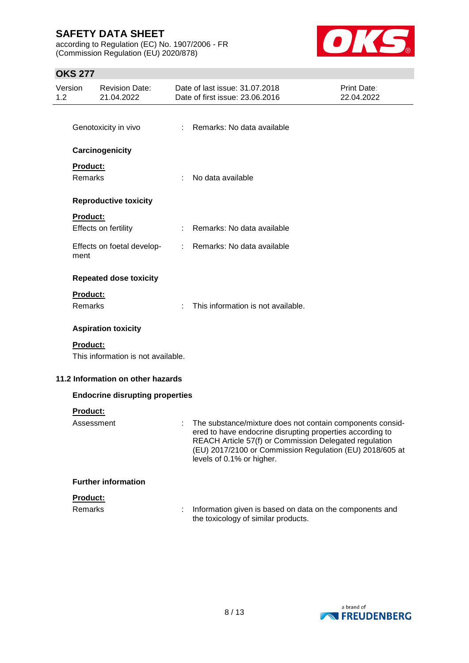according to Regulation (EC) No. 1907/2006 - FR (Commission Regulation (EU) 2020/878)



## **OKS 277**

| Version<br>1.2 |                                                | <b>Revision Date:</b><br>21.04.2022    |    | Date of last issue: 31.07.2018<br>Date of first issue: 23.06.2016                                                                                                                                                                                                         | <b>Print Date:</b><br>22.04.2022 |
|----------------|------------------------------------------------|----------------------------------------|----|---------------------------------------------------------------------------------------------------------------------------------------------------------------------------------------------------------------------------------------------------------------------------|----------------------------------|
|                |                                                | Genotoxicity in vivo                   | ÷. | Remarks: No data available                                                                                                                                                                                                                                                |                                  |
|                |                                                | Carcinogenicity                        |    |                                                                                                                                                                                                                                                                           |                                  |
|                | Product:                                       |                                        |    |                                                                                                                                                                                                                                                                           |                                  |
|                | <b>Remarks</b>                                 |                                        |    | No data available                                                                                                                                                                                                                                                         |                                  |
|                |                                                | <b>Reproductive toxicity</b>           |    |                                                                                                                                                                                                                                                                           |                                  |
|                | <b>Product:</b>                                |                                        |    |                                                                                                                                                                                                                                                                           |                                  |
|                |                                                | Effects on fertility                   |    | : Remarks: No data available                                                                                                                                                                                                                                              |                                  |
|                | ment                                           | Effects on foetal develop-             |    | : Remarks: No data available                                                                                                                                                                                                                                              |                                  |
|                |                                                | <b>Repeated dose toxicity</b>          |    |                                                                                                                                                                                                                                                                           |                                  |
|                | Product:                                       |                                        |    |                                                                                                                                                                                                                                                                           |                                  |
|                | Remarks                                        |                                        |    | This information is not available.                                                                                                                                                                                                                                        |                                  |
|                |                                                | <b>Aspiration toxicity</b>             |    |                                                                                                                                                                                                                                                                           |                                  |
|                | Product:<br>This information is not available. |                                        |    |                                                                                                                                                                                                                                                                           |                                  |
|                |                                                | 11.2 Information on other hazards      |    |                                                                                                                                                                                                                                                                           |                                  |
|                |                                                | <b>Endocrine disrupting properties</b> |    |                                                                                                                                                                                                                                                                           |                                  |
|                | Product:                                       |                                        |    |                                                                                                                                                                                                                                                                           |                                  |
|                | Assessment                                     |                                        |    | The substance/mixture does not contain components consid-<br>ered to have endocrine disrupting properties according to<br>REACH Article 57(f) or Commission Delegated regulation<br>(EU) 2017/2100 or Commission Regulation (EU) 2018/605 at<br>levels of 0.1% or higher. |                                  |
|                |                                                | <b>Further information</b>             |    |                                                                                                                                                                                                                                                                           |                                  |
|                | Product:                                       |                                        |    |                                                                                                                                                                                                                                                                           |                                  |
|                | Remarks                                        |                                        |    | Information given is based on data on the components and<br>the toxicology of similar products.                                                                                                                                                                           |                                  |

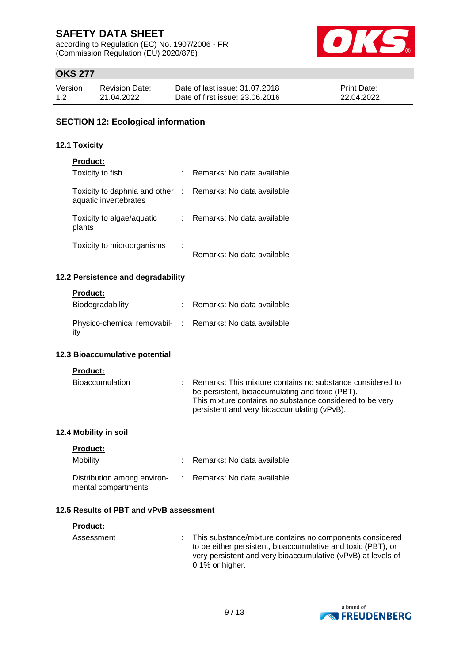according to Regulation (EC) No. 1907/2006 - FR (Commission Regulation (EU) 2020/878)



## **OKS 277**

| Version | <b>Revision Date:</b> | Date of last issue: 31.07.2018  | <b>Print Date:</b> |
|---------|-----------------------|---------------------------------|--------------------|
| 1.2     | 21.04.2022            | Date of first issue: 23,06,2016 | 22.04.2022         |

### **SECTION 12: Ecological information**

### **12.1 Toxicity**

| <b>Product:</b>                                                                     |                              |
|-------------------------------------------------------------------------------------|------------------------------|
| Toxicity to fish                                                                    | : Remarks: No data available |
| Toxicity to daphnia and other : Remarks: No data available<br>aquatic invertebrates |                              |
| Toxicity to algae/aquatic<br>plants                                                 | : Remarks: No data available |
| Toxicity to microorganisms                                                          | Remarks: No data available   |
| 12.2 Persistence and degradability                                                  |                              |
| <b>Product:</b>                                                                     |                              |
| Biodegradability                                                                    | Remarks: No data available   |
| Physico-chemical removabil- : Remarks: No data available<br>ity                     |                              |

## **12.3 Bioaccumulative potential**

### **Product:**

| <b>Bioaccumulation</b> | : Remarks: This mixture contains no substance considered to |
|------------------------|-------------------------------------------------------------|
|                        | be persistent, bioaccumulating and toxic (PBT).             |
|                        | This mixture contains no substance considered to be very    |
|                        | persistent and very bioaccumulating (vPvB).                 |

## **12.4 Mobility in soil**

**Product:**

| <b>Mobility</b>                                    | Remarks: No data available |
|----------------------------------------------------|----------------------------|
| Distribution among environ-<br>mental compartments | Remarks: No data available |

## **12.5 Results of PBT and vPvB assessment**

| <b>Product:</b> |                                                                                                                                                                                                                  |
|-----------------|------------------------------------------------------------------------------------------------------------------------------------------------------------------------------------------------------------------|
| Assessment      | : This substance/mixture contains no components considered<br>to be either persistent, bioaccumulative and toxic (PBT), or<br>very persistent and very bioaccumulative (vPvB) at levels of<br>$0.1\%$ or higher. |

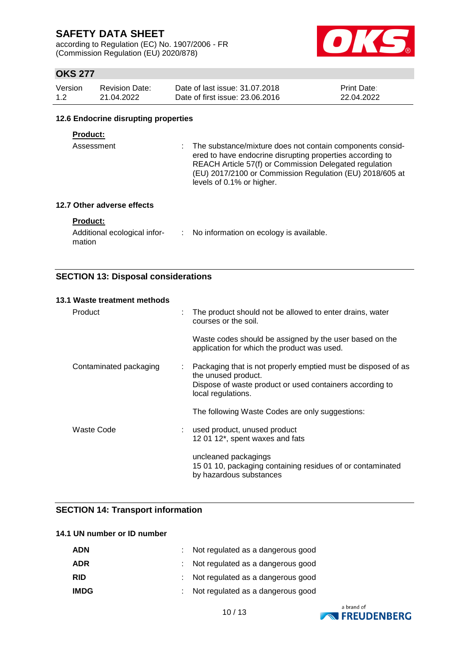according to Regulation (EC) No. 1907/2006 - FR (Commission Regulation (EU) 2020/878)



## **OKS 277**

| Version | <b>Revision Date:</b> | Date of last issue: 31.07.2018  | <b>Print Date:</b> |
|---------|-----------------------|---------------------------------|--------------------|
| 1.2     | 21.04.2022            | Date of first issue: 23,06,2016 | 22.04.2022         |

### **12.6 Endocrine disrupting properties**

### **Product:**

Assessment : The substance/mixture does not contain components considered to have endocrine disrupting properties according to REACH Article 57(f) or Commission Delegated regulation (EU) 2017/2100 or Commission Regulation (EU) 2018/605 at levels of 0.1% or higher.

### **12.7 Other adverse effects**

### **Product:**

| Additional ecological infor- | No information on ecology is available. |
|------------------------------|-----------------------------------------|
| mation                       |                                         |

## **SECTION 13: Disposal considerations**

| 13.1 Waste treatment methods |   |                                                                                                                                                                        |
|------------------------------|---|------------------------------------------------------------------------------------------------------------------------------------------------------------------------|
| Product                      | ÷ | The product should not be allowed to enter drains, water<br>courses or the soil.                                                                                       |
|                              |   | Waste codes should be assigned by the user based on the<br>application for which the product was used.                                                                 |
| Contaminated packaging       | ÷ | Packaging that is not properly emptied must be disposed of as<br>the unused product.<br>Dispose of waste product or used containers according to<br>local regulations. |
|                              |   | The following Waste Codes are only suggestions:                                                                                                                        |
| Waste Code                   |   | used product, unused product<br>12 01 12*, spent waxes and fats                                                                                                        |
|                              |   | uncleaned packagings<br>15 01 10, packaging containing residues of or contaminated<br>by hazardous substances                                                          |

## **SECTION 14: Transport information**

## **14.1 UN number or ID number**

| <b>ADN</b>  | : Not regulated as a dangerous good |
|-------------|-------------------------------------|
| <b>ADR</b>  | : Not regulated as a dangerous good |
| <b>RID</b>  | : Not regulated as a dangerous good |
| <b>IMDG</b> | : Not regulated as a dangerous good |

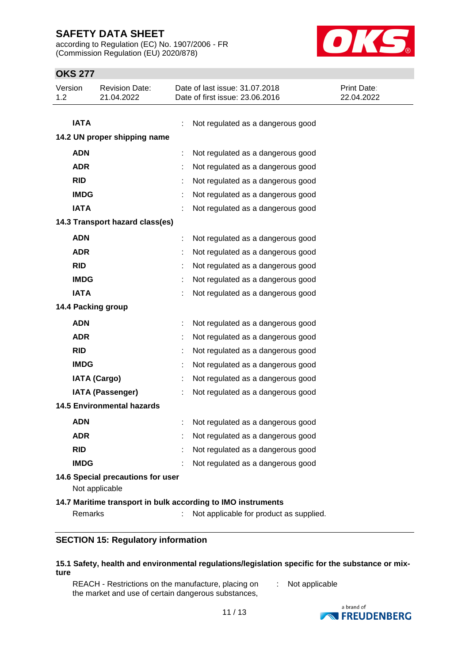according to Regulation (EC) No. 1907/2006 - FR (Commission Regulation (EU) 2020/878)



## **OKS 277**

| Version<br>1.2                  | <b>Revision Date:</b><br>21.04.2022                 | Date of last issue: 31.07.2018<br>Date of first issue: 23.06.2016 | Print Date:<br>22.04.2022 |  |  |  |  |  |
|---------------------------------|-----------------------------------------------------|-------------------------------------------------------------------|---------------------------|--|--|--|--|--|
|                                 |                                                     |                                                                   |                           |  |  |  |  |  |
| <b>IATA</b>                     |                                                     | Not regulated as a dangerous good                                 |                           |  |  |  |  |  |
|                                 | 14.2 UN proper shipping name                        |                                                                   |                           |  |  |  |  |  |
| <b>ADN</b>                      |                                                     | Not regulated as a dangerous good<br>÷                            |                           |  |  |  |  |  |
| <b>ADR</b>                      |                                                     | Not regulated as a dangerous good                                 |                           |  |  |  |  |  |
| <b>RID</b>                      |                                                     | Not regulated as a dangerous good                                 |                           |  |  |  |  |  |
| <b>IMDG</b>                     |                                                     | Not regulated as a dangerous good                                 |                           |  |  |  |  |  |
| <b>IATA</b>                     |                                                     | Not regulated as a dangerous good                                 |                           |  |  |  |  |  |
| 14.3 Transport hazard class(es) |                                                     |                                                                   |                           |  |  |  |  |  |
| <b>ADN</b>                      |                                                     | Not regulated as a dangerous good<br>÷                            |                           |  |  |  |  |  |
| <b>ADR</b>                      |                                                     | Not regulated as a dangerous good                                 |                           |  |  |  |  |  |
| <b>RID</b>                      |                                                     | Not regulated as a dangerous good                                 |                           |  |  |  |  |  |
| <b>IMDG</b>                     |                                                     | Not regulated as a dangerous good                                 |                           |  |  |  |  |  |
| <b>IATA</b>                     |                                                     | Not regulated as a dangerous good                                 |                           |  |  |  |  |  |
|                                 | 14.4 Packing group                                  |                                                                   |                           |  |  |  |  |  |
| <b>ADN</b>                      |                                                     | Not regulated as a dangerous good<br>÷                            |                           |  |  |  |  |  |
| <b>ADR</b>                      |                                                     | Not regulated as a dangerous good                                 |                           |  |  |  |  |  |
| <b>RID</b>                      |                                                     | Not regulated as a dangerous good                                 |                           |  |  |  |  |  |
| <b>IMDG</b>                     |                                                     | Not regulated as a dangerous good                                 |                           |  |  |  |  |  |
|                                 | <b>IATA (Cargo)</b>                                 | Not regulated as a dangerous good                                 |                           |  |  |  |  |  |
|                                 | IATA (Passenger)                                    | Not regulated as a dangerous good                                 |                           |  |  |  |  |  |
|                                 | <b>14.5 Environmental hazards</b>                   |                                                                   |                           |  |  |  |  |  |
| ADN                             |                                                     | Not regulated as a dangerous good                                 |                           |  |  |  |  |  |
| <b>ADR</b>                      |                                                     | Not regulated as a dangerous good                                 |                           |  |  |  |  |  |
| <b>RID</b>                      |                                                     | Not regulated as a dangerous good                                 |                           |  |  |  |  |  |
| <b>IMDG</b>                     |                                                     | Not regulated as a dangerous good                                 |                           |  |  |  |  |  |
|                                 | 14.6 Special precautions for user<br>Not applicable |                                                                   |                           |  |  |  |  |  |
|                                 |                                                     | 14.7 Maritime transport in bulk according to IMO instruments      |                           |  |  |  |  |  |
|                                 | Remarks                                             | Not applicable for product as supplied.                           |                           |  |  |  |  |  |

## **SECTION 15: Regulatory information**

### **15.1 Safety, health and environmental regulations/legislation specific for the substance or mixture**

REACH - Restrictions on the manufacture, placing on the market and use of certain dangerous substances,

: Not applicable

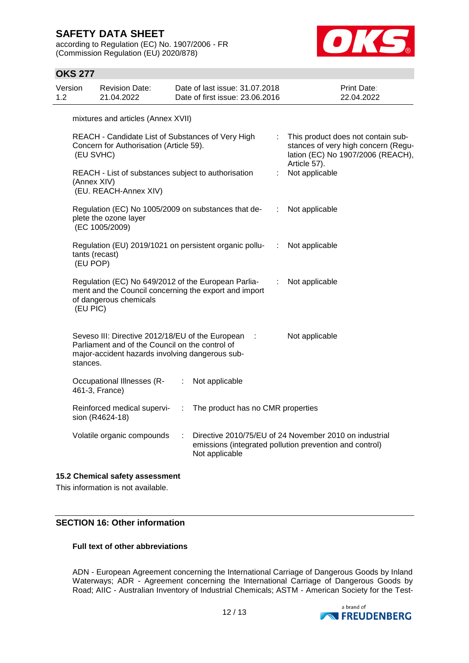according to Regulation (EC) No. 1907/2006 - FR (Commission Regulation (EU) 2020/878)



## **OKS 277**

| Version<br>1.2 | <b>Revision Date:</b><br>21.04.2022                                                                                                                                                  |                | Date of last issue: 31.07.2018<br>Date of first issue: 23.06.2016 |   | <b>Print Date:</b><br>22.04.2022                                                                                               |  |  |  |  |
|----------------|--------------------------------------------------------------------------------------------------------------------------------------------------------------------------------------|----------------|-------------------------------------------------------------------|---|--------------------------------------------------------------------------------------------------------------------------------|--|--|--|--|
|                | mixtures and articles (Annex XVII)                                                                                                                                                   |                |                                                                   |   |                                                                                                                                |  |  |  |  |
|                | REACH - Candidate List of Substances of Very High<br>Concern for Authorisation (Article 59).<br>(EU SVHC)                                                                            |                |                                                                   |   | This product does not contain sub-<br>stances of very high concern (Regu-<br>lation (EC) No 1907/2006 (REACH),<br>Article 57). |  |  |  |  |
|                | REACH - List of substances subject to authorisation<br>(Annex XIV)<br>(EU. REACH-Annex XIV)                                                                                          |                |                                                                   | t | Not applicable                                                                                                                 |  |  |  |  |
|                | Regulation (EC) No 1005/2009 on substances that de-<br>plete the ozone layer<br>(EC 1005/2009)                                                                                       |                |                                                                   | ÷ | Not applicable                                                                                                                 |  |  |  |  |
|                | Regulation (EU) 2019/1021 on persistent organic pollu-<br>tants (recast)<br>(EU POP)                                                                                                 |                |                                                                   | ÷ | Not applicable                                                                                                                 |  |  |  |  |
|                | Regulation (EC) No 649/2012 of the European Parlia-<br>ment and the Council concerning the export and import<br>of dangerous chemicals<br>(EU PIC)                                   | Not applicable |                                                                   |   |                                                                                                                                |  |  |  |  |
|                | Seveso III: Directive 2012/18/EU of the European<br>Not applicable<br>Parliament and of the Council on the control of<br>major-accident hazards involving dangerous sub-<br>stances. |                |                                                                   |   |                                                                                                                                |  |  |  |  |
|                | Occupational Illnesses (R-<br>461-3, France)                                                                                                                                         | t              | Not applicable                                                    |   |                                                                                                                                |  |  |  |  |
|                | Reinforced medical supervi-<br>sion (R4624-18)                                                                                                                                       | ÷              | The product has no CMR properties                                 |   |                                                                                                                                |  |  |  |  |
|                | Volatile organic compounds                                                                                                                                                           | ÷              | Not applicable                                                    |   | Directive 2010/75/EU of 24 November 2010 on industrial<br>emissions (integrated pollution prevention and control)              |  |  |  |  |
|                |                                                                                                                                                                                      |                |                                                                   |   |                                                                                                                                |  |  |  |  |

## **15.2 Chemical safety assessment**

This information is not available.

### **SECTION 16: Other information**

### **Full text of other abbreviations**

ADN - European Agreement concerning the International Carriage of Dangerous Goods by Inland Waterways; ADR - Agreement concerning the International Carriage of Dangerous Goods by Road; AIIC - Australian Inventory of Industrial Chemicals; ASTM - American Society for the Test-